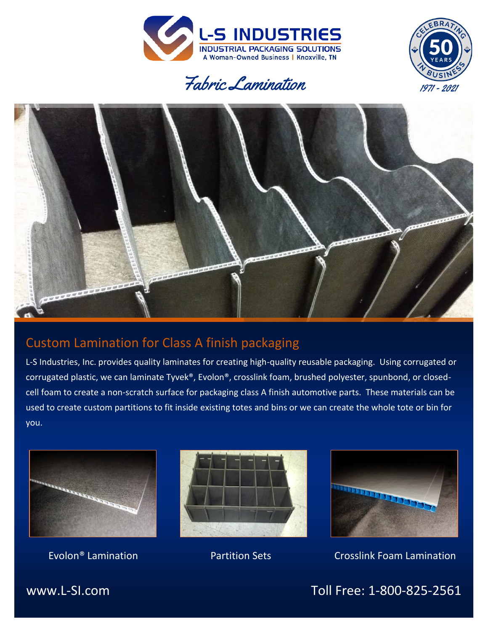







# Custom Lamination for Class A finish packaging

L-S Industries, Inc. provides quality laminates for creating high-quality reusable packaging. Using corrugated or corrugated plastic, we can laminate Tyvek®, Evolon®, crosslink foam, brushed polyester, spunbond, or closedcell foam to create a non-scratch surface for packaging class A finish automotive parts. These materials can be used to create custom partitions to fit inside existing totes and bins or we can create the whole tote or bin for you.







Evolon® Lamination Partition Sets Crosslink Foam Lamination

www.L-SI.com Toll Free: 1-800-825-2561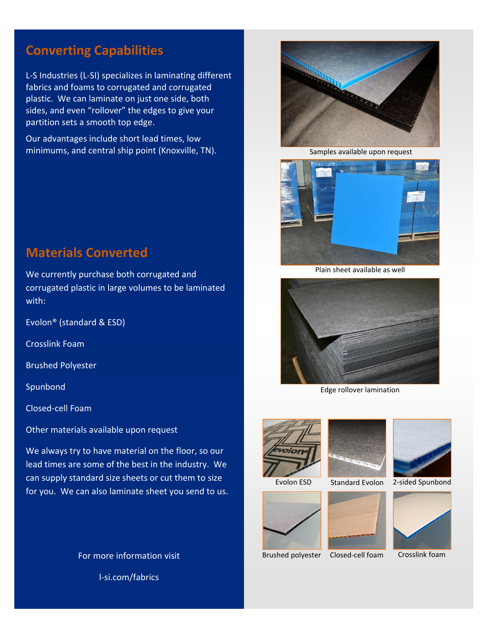### **Converting Capabilities**

L-S Industries (L-SI) specializes in laminating different fabrics and foams to corrugated and corrugated plastic. We can laminate on just one side, both sides, and even "rollover" the edges to give your partition sets a smooth top edge.

Our advantages include short lead times, low minimums, and central ship point (Knoxville, TN).



Samples available upon request



Plain sheet available as well



Edge rollover lamination





Brushed polyester Closed-cell foam



2-sided Spunbond



Crosslink foam

### **Materials Converted**

We currently purchase both corrugated and corrugated plastic in large volumes to be laminated with:

Evolon® (standard & ESD)

Crosslink Foam

Brushed Polyester

**Spunbond** 

Closed-cell Foam

Other materials available upon request

We always try to have material on the floor, so our lead times are some of the best in the industry. We can supply standard size sheets or cut them to size for you. We can also laminate sheet you send to us.

> For more information visit l-si.com/fabrics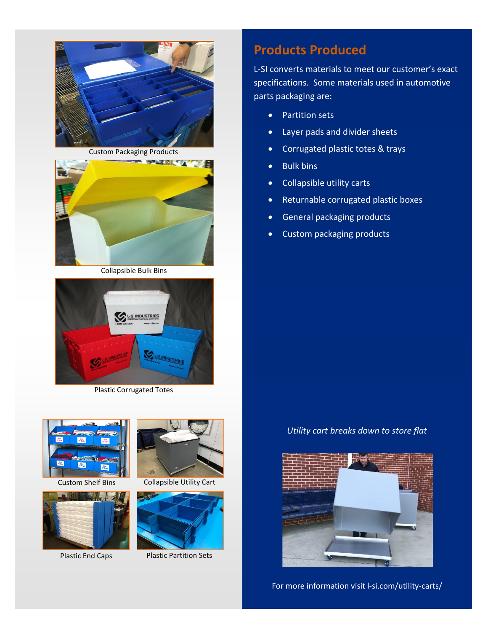



Collapsible Bulk Bins



Plastic Corrugated Totes







Custom Shelf Bins Collapsible Utility Cart



Plastic End Caps Plastic Partition Sets

# **Products Produced**

L-SI converts materials to meet our customer's exact specifications. Some materials used in automotive parts packaging are:

- Partition sets
- Layer pads and divider sheets
- Corrugated plastic totes & trays
- Bulk bins
- Collapsible utility carts
- Returnable corrugated plastic boxes
- General packaging products
- Custom packaging products

*Utility cart breaks down to store flat*



For more information visit l-si.com/utility-carts/